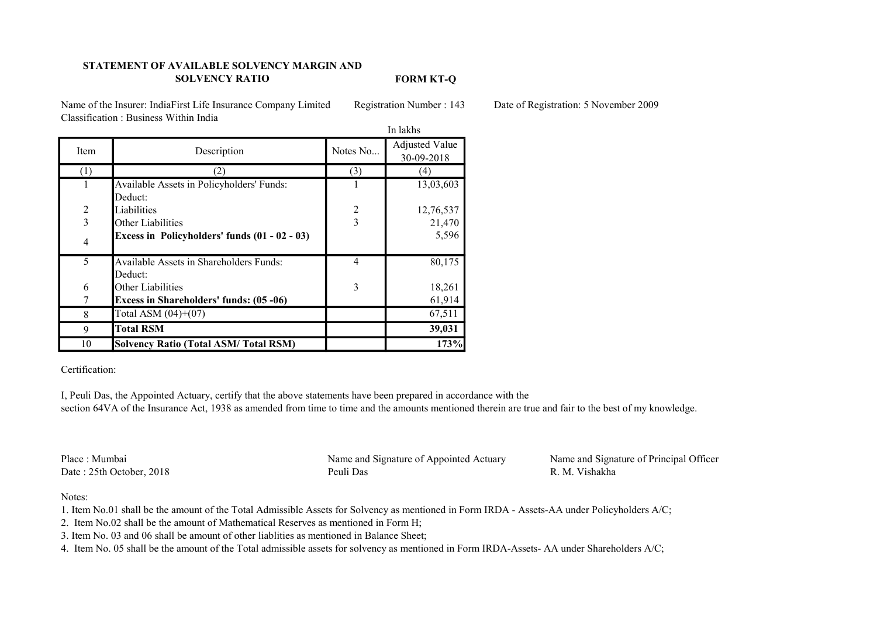## STATEMENT OF AVAILABLE SOLVENCY MARGIN AND SOLVENCY RATIO

FORM KT-Q

Name of the Insurer: IndiaFirst Life Insurance Company Limited Registration Number : 143 Date of Registration: 5 November 2009 Classification : Business Within India

|                | In lakhs                                       |                         |                       |
|----------------|------------------------------------------------|-------------------------|-----------------------|
| Item           | Description                                    | Notes No                | <b>Adjusted Value</b> |
|                |                                                |                         | 30-09-2018            |
| (1)            |                                                | (3)                     | 4)                    |
|                | Available Assets in Policyholders' Funds:      |                         | 13,03,603             |
|                | Deduct:                                        |                         |                       |
| $\overline{2}$ | Liabilities                                    | $\overline{\mathbf{c}}$ | 12,76,537             |
| $\overline{3}$ | Other Liabilities                              | $\overline{3}$          | 21,470                |
|                | Excess in Policyholders' funds (01 - 02 - 03)  |                         | 5,596                 |
| 4              |                                                |                         |                       |
| 5              | Available Assets in Shareholders Funds:        | $\overline{4}$          | 80,175                |
|                | Deduct:                                        |                         |                       |
| 6              | Other Liabilities                              | 3                       | 18,261                |
| 7              | <b>Excess in Shareholders' funds: (05 -06)</b> |                         | 61,914                |
| 8              | Total ASM $(04)+(07)$                          |                         | 67,511                |
| 9              | <b>Total RSM</b>                               |                         | 39,031                |
| 10             | <b>Solvency Ratio (Total ASM/Total RSM)</b>    |                         | 173%                  |

Certification:

I, Peuli Das, the Appointed Actuary, certify that the above statements have been prepared in accordance with the section 64VA of the Insurance Act, 1938 as amended from time to time and the amounts mentioned therein are true and fair to the best of my knowledge.

Place : Mumbai Name and Signature of Appointed Actuary Name and Signature of Principal Officer Date : 25th October, 2018 **Peuli Das** R. M. Vishakha

## Notes:

- 1. Item No.01 shall be the amount of the Total Admissible Assets for Solvency as mentioned in Form IRDA Assets-AA under Policyholders A/C;
- 2. Item No.02 shall be the amount of Mathematical Reserves as mentioned in Form H;
- 3. Item No. 03 and 06 shall be amount of other liablities as mentioned in Balance Sheet;
- 4. Item No. 05 shall be the amount of the Total admissible assets for solvency as mentioned in Form IRDA-Assets- AA under Shareholders A/C;